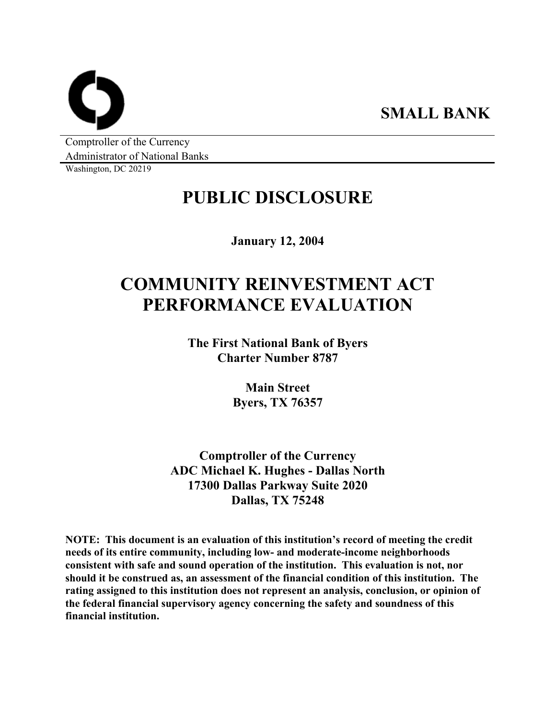**SMALL BANK** 

Comptroller of the Currency Administrator of National Banks

Washington, DC 20219

## **PUBLIC DISCLOSURE**

**January 12, 2004** 

# **COMMUNITY REINVESTMENT ACT PERFORMANCE EVALUATION**

**The First National Bank of Byers Charter Number 8787** 

> **Main Street Byers, TX 76357**

**Comptroller of the Currency ADC Michael K. Hughes - Dallas North 17300 Dallas Parkway Suite 2020 Dallas, TX 75248** 

**NOTE: This document is an evaluation of this institution's record of meeting the credit needs of its entire community, including low- and moderate-income neighborhoods consistent with safe and sound operation of the institution. This evaluation is not, nor should it be construed as, an assessment of the financial condition of this institution. The rating assigned to this institution does not represent an analysis, conclusion, or opinion of the federal financial supervisory agency concerning the safety and soundness of this financial institution.**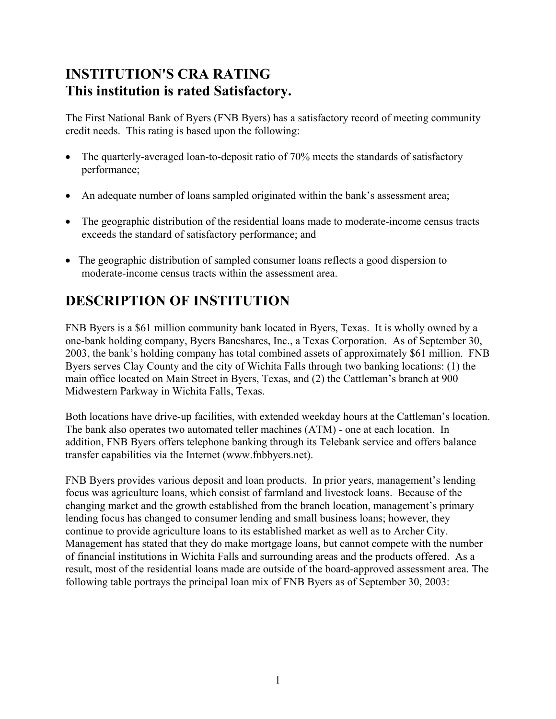## **INSTITUTION'S CRA RATING This institution is rated Satisfactory.**

The First National Bank of Byers (FNB Byers) has a satisfactory record of meeting community credit needs. This rating is based upon the following:

- The quarterly-averaged loan-to-deposit ratio of 70% meets the standards of satisfactory performance;  $\bullet$
- An adequate number of loans sampled originated within the bank's assessment area;
- The geographic distribution of the residential loans made to moderate-income census tracts exceeds the standard of satisfactory performance; and
- The geographic distribution of sampled consumer loans reflects a good dispersion to moderate-income census tracts within the assessment area.

## **DESCRIPTION OF INSTITUTION**

FNB Byers is a \$61 million community bank located in Byers, Texas. It is wholly owned by a one-bank holding company, Byers Bancshares, Inc., a Texas Corporation. As of September 30, 2003, the bank's holding company has total combined assets of approximately \$61 million. FNB Byers serves Clay County and the city of Wichita Falls through two banking locations: (1) the main office located on Main Street in Byers, Texas, and (2) the Cattleman's branch at 900 Midwestern Parkway in Wichita Falls, Texas.

Both locations have drive-up facilities, with extended weekday hours at the Cattleman's location. The bank also operates two automated teller machines (ATM) - one at each location. In addition, FNB Byers offers telephone banking through its Telebank service and offers balance transfer capabilities via the Internet (www.fnbbyers.net).

FNB Byers provides various deposit and loan products. In prior years, management's lending focus was agriculture loans, which consist of farmland and livestock loans. Because of the changing market and the growth established from the branch location, management's primary lending focus has changed to consumer lending and small business loans; however, they continue to provide agriculture loans to its established market as well as to Archer City. Management has stated that they do make mortgage loans, but cannot compete with the number of financial institutions in Wichita Falls and surrounding areas and the products offered. As a result, most of the residential loans made are outside of the board-approved assessment area. The following table portrays the principal loan mix of FNB Byers as of September 30, 2003: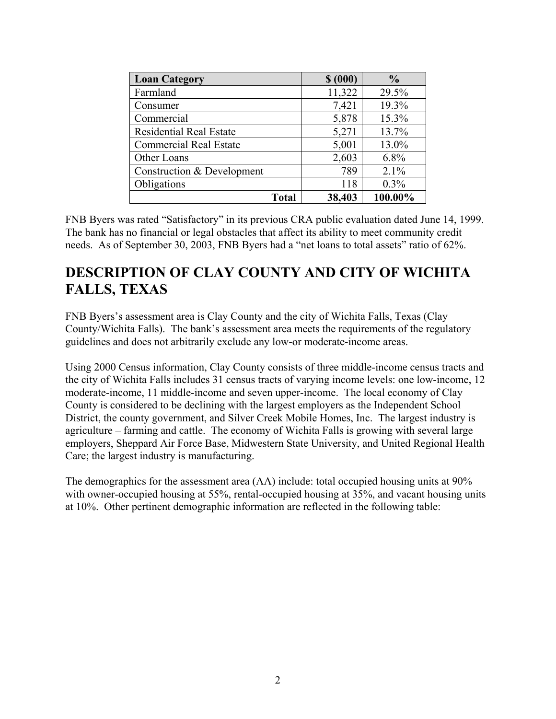| <b>Loan Category</b>           | \$ (000) | $\frac{0}{0}$ |
|--------------------------------|----------|---------------|
| Farmland                       | 11,322   | 29.5%         |
| Consumer                       | 7,421    | 19.3%         |
| Commercial                     | 5,878    | 15.3%         |
| <b>Residential Real Estate</b> | 5,271    | 13.7%         |
| <b>Commercial Real Estate</b>  | 5,001    | 13.0%         |
| Other Loans                    | 2,603    | 6.8%          |
| Construction & Development     | 789      | 2.1%          |
| Obligations                    | 118      | 0.3%          |
| <b>Total</b>                   | 38,403   | 100.00%       |

FNB Byers was rated "Satisfactory" in its previous CRA public evaluation dated June 14, 1999. The bank has no financial or legal obstacles that affect its ability to meet community credit needs. As of September 30, 2003, FNB Byers had a "net loans to total assets" ratio of 62%.

## **DESCRIPTION OF CLAY COUNTY AND CITY OF WICHITA FALLS, TEXAS**

FNB Byers's assessment area is Clay County and the city of Wichita Falls, Texas (Clay County/Wichita Falls). The bank's assessment area meets the requirements of the regulatory guidelines and does not arbitrarily exclude any low-or moderate-income areas.

Using 2000 Census information, Clay County consists of three middle-income census tracts and the city of Wichita Falls includes 31 census tracts of varying income levels: one low-income, 12 moderate-income, 11 middle-income and seven upper-income. The local economy of Clay County is considered to be declining with the largest employers as the Independent School District, the county government, and Silver Creek Mobile Homes, Inc. The largest industry is agriculture – farming and cattle. The economy of Wichita Falls is growing with several large employers, Sheppard Air Force Base, Midwestern State University, and United Regional Health Care; the largest industry is manufacturing.

The demographics for the assessment area (AA) include: total occupied housing units at 90% with owner-occupied housing at 55%, rental-occupied housing at 35%, and vacant housing units at 10%. Other pertinent demographic information are reflected in the following table: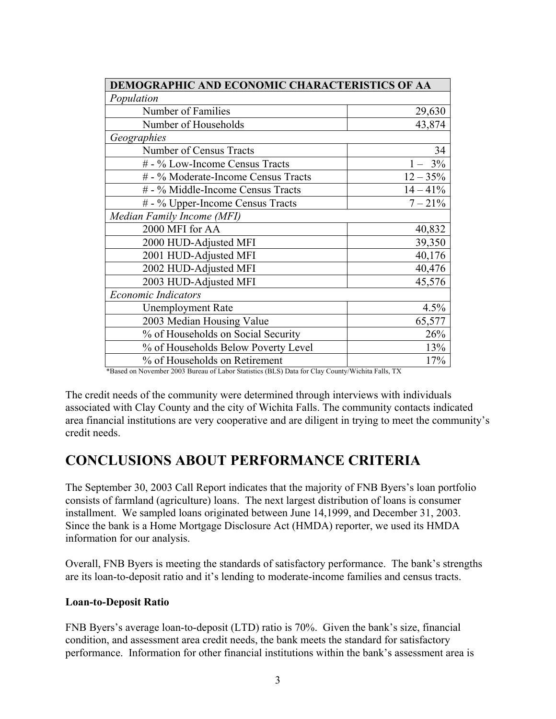| DEMOGRAPHIC AND ECONOMIC CHARACTERISTICS OF AA |             |  |  |  |  |  |  |
|------------------------------------------------|-------------|--|--|--|--|--|--|
| Population                                     |             |  |  |  |  |  |  |
| Number of Families                             | 29,630      |  |  |  |  |  |  |
| Number of Households                           | 43,874      |  |  |  |  |  |  |
| Geographies                                    |             |  |  |  |  |  |  |
| Number of Census Tracts                        | 34          |  |  |  |  |  |  |
| # - % Low-Income Census Tracts                 | $1 - 3\%$   |  |  |  |  |  |  |
| # - % Moderate-Income Census Tracts            | $12 - 35%$  |  |  |  |  |  |  |
| # - % Middle-Income Census Tracts              | $14 - 41\%$ |  |  |  |  |  |  |
| # - % Upper-Income Census Tracts               | $7 - 21\%$  |  |  |  |  |  |  |
| Median Family Income (MFI)                     |             |  |  |  |  |  |  |
| 2000 MFI for AA                                | 40,832      |  |  |  |  |  |  |
| 2000 HUD-Adjusted MFI                          | 39,350      |  |  |  |  |  |  |
| 2001 HUD-Adjusted MFI                          | 40,176      |  |  |  |  |  |  |
| 2002 HUD-Adjusted MFI                          | 40,476      |  |  |  |  |  |  |
| 2003 HUD-Adjusted MFI                          | 45,576      |  |  |  |  |  |  |
| <b>Economic Indicators</b>                     |             |  |  |  |  |  |  |
| <b>Unemployment Rate</b>                       | 4.5%        |  |  |  |  |  |  |
| 2003 Median Housing Value                      | 65,577      |  |  |  |  |  |  |
| % of Households on Social Security             | 26%         |  |  |  |  |  |  |
| % of Households Below Poverty Level            | 13%         |  |  |  |  |  |  |
| % of Households on Retirement                  | 17%         |  |  |  |  |  |  |

<sup>\*</sup>Based on November 2003 Bureau of Labor Statistics (BLS) Data for Clay County/Wichita Falls, TX

The credit needs of the community were determined through interviews with individuals associated with Clay County and the city of Wichita Falls. The community contacts indicated area financial institutions are very cooperative and are diligent in trying to meet the community's credit needs.

### **CONCLUSIONS ABOUT PERFORMANCE CRITERIA**

The September 30, 2003 Call Report indicates that the majority of FNB Byers's loan portfolio consists of farmland (agriculture) loans. The next largest distribution of loans is consumer installment. We sampled loans originated between June 14,1999, and December 31, 2003. Since the bank is a Home Mortgage Disclosure Act (HMDA) reporter, we used its HMDA information for our analysis.

Overall, FNB Byers is meeting the standards of satisfactory performance. The bank's strengths are its loan-to-deposit ratio and it's lending to moderate-income families and census tracts.

#### **Loan-to-Deposit Ratio**

FNB Byers's average loan-to-deposit (LTD) ratio is 70%. Given the bank's size, financial condition, and assessment area credit needs, the bank meets the standard for satisfactory performance. Information for other financial institutions within the bank's assessment area is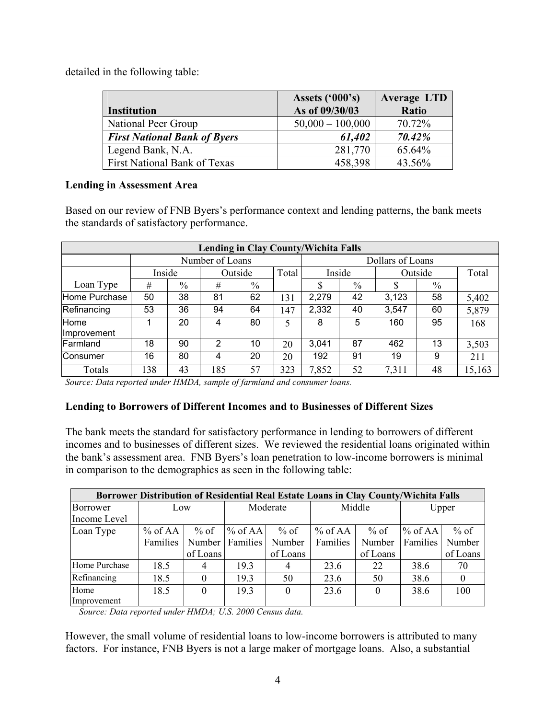detailed in the following table:

|                                     | Assets $(500)$ 's) | <b>Average LTD</b> |
|-------------------------------------|--------------------|--------------------|
| <b>Institution</b>                  | As of 09/30/03     | Ratio              |
| National Peer Group                 | $50,000 - 100,000$ | 70.72%             |
| <b>First National Bank of Byers</b> | 61,402             | 70.42%             |
| Legend Bank, N.A.                   | 281,770            | 65.64%             |
| <b>First National Bank of Texas</b> | 458,398            | 43.56%             |

#### **Lending in Assessment Area**

Based on our review of FNB Byers's performance context and lending patterns, the bank meets the standards of satisfactory performance.

| <b>Lending in Clay County/Wichita Falls</b> |     |                   |                 |      |       |        |                  |         |      |        |  |
|---------------------------------------------|-----|-------------------|-----------------|------|-------|--------|------------------|---------|------|--------|--|
|                                             |     |                   | Number of Loans |      |       |        | Dollars of Loans |         |      |        |  |
|                                             |     | Inside<br>Outside |                 |      | Total | Inside |                  | Outside |      | Total  |  |
| Loan Type                                   | #   | $\%$              | #               | $\%$ |       | \$     | $\%$             |         | $\%$ |        |  |
| Home Purchase                               | 50  | 38                | 81              | 62   | 131   | 2,279  | 42               | 3,123   | 58   | 5,402  |  |
| Refinancing                                 | 53  | 36                | 94              | 64   | 147   | 2,332  | 40               | 3,547   | 60   | 5,879  |  |
| Home<br>Improvement                         |     | 20                | 4               | 80   | 5     | 8      | 5                | 160     | 95   | 168    |  |
| Farmland                                    | 18  | 90                | 2               | 10   | 20    | 3,041  | 87               | 462     | 13   | 3,503  |  |
| Consumer                                    | 16  | 80                | 4               | 20   | 20    | 192    | 91               | 19      | 9    | 211    |  |
| Totals                                      | 138 | 43                | 185             | 57   | 323   | 7,852  | 52               | 7,311   | 48   | 15,163 |  |

*Source: Data reported under HMDA, sample of farmland and consumer loans.* 

#### **Lending to Borrowers of Different Incomes and to Businesses of Different Sizes**

The bank meets the standard for satisfactory performance in lending to borrowers of different incomes and to businesses of different sizes. We reviewed the residential loans originated within the bank's assessment area. FNB Byers's loan penetration to low-income borrowers is minimal in comparison to the demographics as seen in the following table:

| <b>Borrower Distribution of Residential Real Estate Loans in Clay County/Wichita Falls</b> |           |          |            |          |          |          |           |          |  |  |  |
|--------------------------------------------------------------------------------------------|-----------|----------|------------|----------|----------|----------|-----------|----------|--|--|--|
| Borrower                                                                                   | Low       |          | Moderate   |          | Middle   |          | Upper     |          |  |  |  |
| Income Level                                                                               |           |          |            |          |          |          |           |          |  |  |  |
| Loan Type                                                                                  | $%$ of AA | $%$ of   | $\%$ of AA | $%$ of   | % of AA  | $%$ of   | % of $AA$ | $%$ of   |  |  |  |
|                                                                                            | Families  | Number   | Families   | Number   | Families | Number   | Families  | Number   |  |  |  |
|                                                                                            |           | of Loans |            | of Loans |          | of Loans |           | of Loans |  |  |  |
| Home Purchase                                                                              | 18.5      | 4        | 19.3       | 4        | 23.6     | 22       | 38.6      | 70       |  |  |  |
| Refinancing                                                                                | 18.5      | $\theta$ | 19.3       | 50       | 23.6     | 50       | 38.6      |          |  |  |  |
| Home                                                                                       | 18.5      | $\theta$ | 19.3       | $\Omega$ | 23.6     | $\Omega$ | 38.6      | 100      |  |  |  |
| Improvement                                                                                |           |          |            |          |          |          |           |          |  |  |  |

 *Source: Data reported under HMDA; U.S. 2000 Census data.* 

However, the small volume of residential loans to low-income borrowers is attributed to many factors. For instance, FNB Byers is not a large maker of mortgage loans. Also, a substantial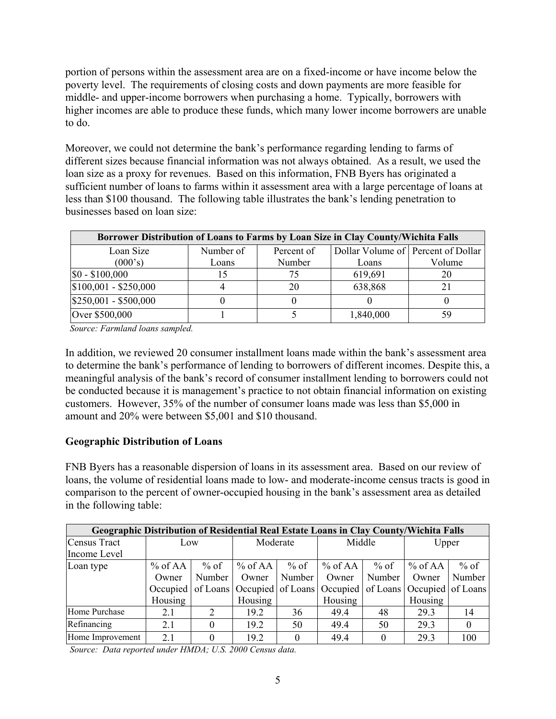portion of persons within the assessment area are on a fixed-income or have income below the poverty level. The requirements of closing costs and down payments are more feasible for middle- and upper-income borrowers when purchasing a home. Typically, borrowers with higher incomes are able to produce these funds, which many lower income borrowers are unable to do.

Moreover, we could not determine the bank's performance regarding lending to farms of different sizes because financial information was not always obtained. As a result, we used the loan size as a proxy for revenues. Based on this information, FNB Byers has originated a sufficient number of loans to farms within it assessment area with a large percentage of loans at less than \$100 thousand. The following table illustrates the bank's lending penetration to businesses based on loan size:

| <b>Borrower Distribution of Loans to Farms by Loan Size in Clay County/Wichita Falls</b> |           |            |                                    |        |  |  |  |  |  |  |
|------------------------------------------------------------------------------------------|-----------|------------|------------------------------------|--------|--|--|--|--|--|--|
| Loan Size                                                                                | Number of | Percent of | Dollar Volume of Percent of Dollar |        |  |  |  |  |  |  |
| (000's)                                                                                  | Loans     | Number     | Loans                              | Volume |  |  |  |  |  |  |
| $$0 - $100,000$                                                                          |           |            | 619,691                            | 20     |  |  |  |  |  |  |
| $$100,001 - $250,000$                                                                    |           | 20         | 638,868                            |        |  |  |  |  |  |  |
| $$250,001 - $500,000$                                                                    |           |            |                                    |        |  |  |  |  |  |  |
| Over \$500,000                                                                           |           |            | 1,840,000                          | 59     |  |  |  |  |  |  |

 *Source: Farmland loans sampled.* 

In addition, we reviewed 20 consumer installment loans made within the bank's assessment area to determine the bank's performance of lending to borrowers of different incomes. Despite this, a meaningful analysis of the bank's record of consumer installment lending to borrowers could not be conducted because it is management's practice to not obtain financial information on existing customers. However, 35% of the number of consumer loans made was less than \$5,000 in amount and 20% were between \$5,001 and \$10 thousand.

#### **Geographic Distribution of Loans**

FNB Byers has a reasonable dispersion of loans in its assessment area. Based on our review of loans, the volume of residential loans made to low- and moderate-income census tracts is good in comparison to the percent of owner-occupied housing in the bank's assessment area as detailed in the following table:

| <b>Geographic Distribution of Residential Real Estate Loans in Clay County/Wichita Falls</b> |                   |                             |           |        |                                                      |          |                   |        |  |  |
|----------------------------------------------------------------------------------------------|-------------------|-----------------------------|-----------|--------|------------------------------------------------------|----------|-------------------|--------|--|--|
| Census Tract                                                                                 | Low               |                             | Moderate  |        | Middle                                               |          | Upper             |        |  |  |
| Income Level                                                                                 |                   |                             |           |        |                                                      |          |                   |        |  |  |
| Loan type                                                                                    | $%$ of AA $\vert$ | $%$ of                      | $%$ of AA | $%$ of | $\%$ of AA                                           | $%$ of   | $%$ of AA         | $%$ of |  |  |
|                                                                                              | Owner             | Number                      | Owner     | Number | Owner                                                | Number   | Owner             | Number |  |  |
|                                                                                              | Occupied          |                             |           |        | of Loans   Occupied   of Loans   Occupied   of Loans |          | Occupied of Loans |        |  |  |
|                                                                                              | Housing           |                             | Housing   |        | Housing                                              |          | Housing           |        |  |  |
| Home Purchase                                                                                | 2.1               | $\mathcal{D}_{\mathcal{L}}$ | 19.2      | 36     | 49.4                                                 | 48       | 29.3              | 14     |  |  |
| Refinancing                                                                                  | 2.1               | 0                           | 19.2      | 50     | 49.4                                                 | 50       | 29.3              |        |  |  |
| Home Improvement                                                                             | 2.1               |                             | 19.2      |        | 49.4                                                 | $\Omega$ | 29.3              | 100    |  |  |

 *Source: Data reported under HMDA; U.S. 2000 Census data.*